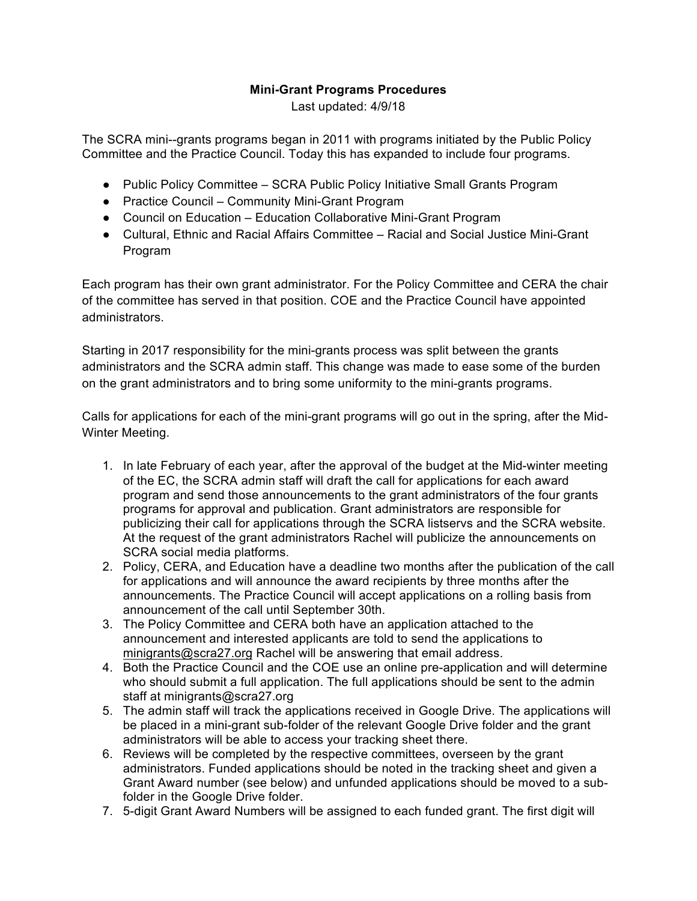## **Mini-Grant Programs Procedures**

Last updated: 4/9/18

The SCRA mini--grants programs began in 2011 with programs initiated by the Public Policy Committee and the Practice Council. Today this has expanded to include four programs.

- Public Policy Committee SCRA Public Policy Initiative Small Grants Program
- Practice Council Community Mini-Grant Program
- Council on Education Education Collaborative Mini-Grant Program
- Cultural, Ethnic and Racial Affairs Committee Racial and Social Justice Mini-Grant Program

Each program has their own grant administrator. For the Policy Committee and CERA the chair of the committee has served in that position. COE and the Practice Council have appointed administrators.

Starting in 2017 responsibility for the mini-grants process was split between the grants administrators and the SCRA admin staff. This change was made to ease some of the burden on the grant administrators and to bring some uniformity to the mini-grants programs.

Calls for applications for each of the mini-grant programs will go out in the spring, after the Mid-Winter Meeting.

- 1. In late February of each year, after the approval of the budget at the Mid-winter meeting of the EC, the SCRA admin staff will draft the call for applications for each award program and send those announcements to the grant administrators of the four grants programs for approval and publication. Grant administrators are responsible for publicizing their call for applications through the SCRA listservs and the SCRA website. At the request of the grant administrators Rachel will publicize the announcements on SCRA social media platforms.
- 2. Policy, CERA, and Education have a deadline two months after the publication of the call for applications and will announce the award recipients by three months after the announcements. The Practice Council will accept applications on a rolling basis from announcement of the call until September 30th.
- 3. The Policy Committee and CERA both have an application attached to the announcement and interested applicants are told to send the applications to minigrants@scra27.org Rachel will be answering that email address.
- 4. Both the Practice Council and the COE use an online pre-application and will determine who should submit a full application. The full applications should be sent to the admin staff at minigrants@scra27.org
- 5. The admin staff will track the applications received in Google Drive. The applications will be placed in a mini-grant sub-folder of the relevant Google Drive folder and the grant administrators will be able to access your tracking sheet there.
- 6. Reviews will be completed by the respective committees, overseen by the grant administrators. Funded applications should be noted in the tracking sheet and given a Grant Award number (see below) and unfunded applications should be moved to a subfolder in the Google Drive folder.
- 7. 5-digit Grant Award Numbers will be assigned to each funded grant. The first digit will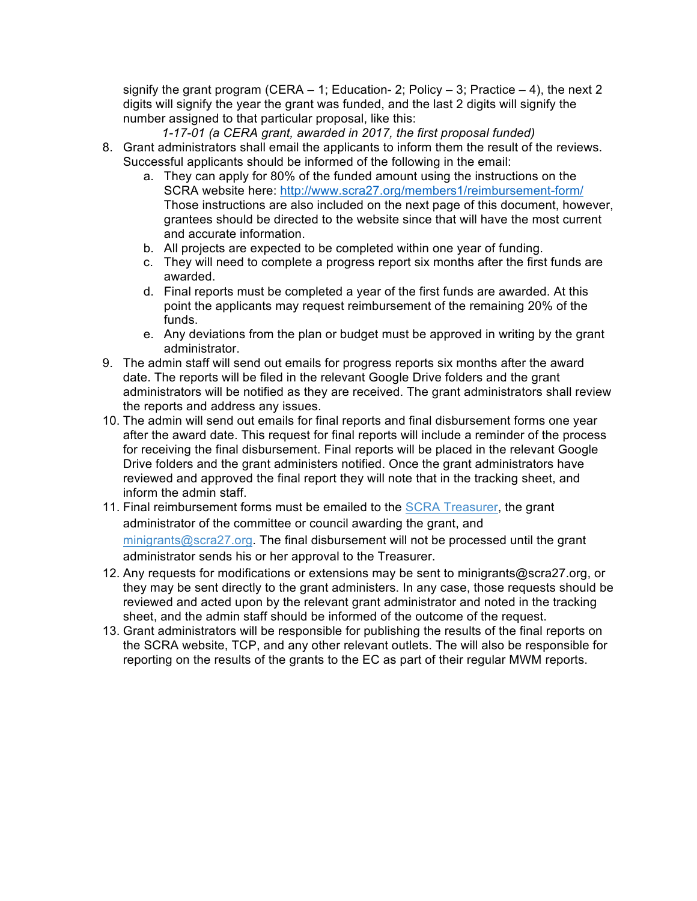signify the grant program (CERA  $-1$ ; Education- 2; Policy  $-3$ ; Practice  $-4$ ), the next 2 digits will signify the year the grant was funded, and the last 2 digits will signify the number assigned to that particular proposal, like this:

*1-17-01 (a CERA grant, awarded in 2017, the first proposal funded)*

- 8. Grant administrators shall email the applicants to inform them the result of the reviews. Successful applicants should be informed of the following in the email:
	- a. They can apply for 80% of the funded amount using the instructions on the SCRA website here: http://www.scra27.org/members1/reimbursement-form/ Those instructions are also included on the next page of this document, however, grantees should be directed to the website since that will have the most current and accurate information.
	- b. All projects are expected to be completed within one year of funding.
	- c. They will need to complete a progress report six months after the first funds are awarded.
	- d. Final reports must be completed a year of the first funds are awarded. At this point the applicants may request reimbursement of the remaining 20% of the funds.
	- e. Any deviations from the plan or budget must be approved in writing by the grant administrator.
- 9. The admin staff will send out emails for progress reports six months after the award date. The reports will be filed in the relevant Google Drive folders and the grant administrators will be notified as they are received. The grant administrators shall review the reports and address any issues.
- 10. The admin will send out emails for final reports and final disbursement forms one year after the award date. This request for final reports will include a reminder of the process for receiving the final disbursement. Final reports will be placed in the relevant Google Drive folders and the grant administers notified. Once the grant administrators have reviewed and approved the final report they will note that in the tracking sheet, and inform the admin staff.
- 11. Final reimbursement forms must be emailed to the SCRA Treasurer, the grant administrator of the committee or council awarding the grant, and minigrants@scra27.org. The final disbursement will not be processed until the grant administrator sends his or her approval to the Treasurer.
- 12. Any requests for modifications or extensions may be sent to minigrants@scra27.org, or they may be sent directly to the grant administers. In any case, those requests should be reviewed and acted upon by the relevant grant administrator and noted in the tracking sheet, and the admin staff should be informed of the outcome of the request.
- 13. Grant administrators will be responsible for publishing the results of the final reports on the SCRA website, TCP, and any other relevant outlets. The will also be responsible for reporting on the results of the grants to the EC as part of their regular MWM reports.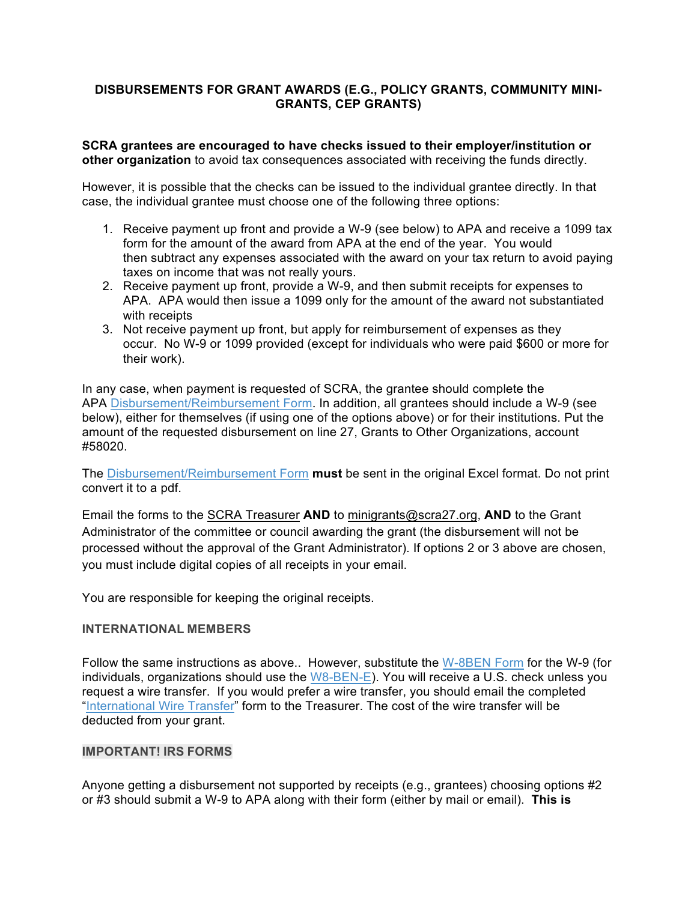## **DISBURSEMENTS FOR GRANT AWARDS (E.G., POLICY GRANTS, COMMUNITY MINI-GRANTS, CEP GRANTS)**

**SCRA grantees are encouraged to have checks issued to their employer/institution or other organization** to avoid tax consequences associated with receiving the funds directly.

However, it is possible that the checks can be issued to the individual grantee directly. In that case, the individual grantee must choose one of the following three options:

- 1. Receive payment up front and provide a W-9 (see below) to APA and receive a 1099 tax form for the amount of the award from APA at the end of the year. You would then subtract any expenses associated with the award on your tax return to avoid paying taxes on income that was not really yours.
- 2. Receive payment up front, provide a W-9, and then submit receipts for expenses to APA. APA would then issue a 1099 only for the amount of the award not substantiated with receipts
- 3. Not receive payment up front, but apply for reimbursement of expenses as they occur. No W-9 or 1099 provided (except for individuals who were paid \$600 or more for their work).

In any case, when payment is requested of SCRA, the grantee should complete the APA Disbursement/Reimbursement Form. In addition, all grantees should include a W-9 (see below), either for themselves (if using one of the options above) or for their institutions. Put the amount of the requested disbursement on line 27, Grants to Other Organizations, account #58020.

The Disbursement/Reimbursement Form **must** be sent in the original Excel format. Do not print convert it to a pdf.

Email the forms to the SCRA Treasurer **AND** to minigrants@scra27.org, **AND** to the Grant Administrator of the committee or council awarding the grant (the disbursement will not be processed without the approval of the Grant Administrator). If options 2 or 3 above are chosen, you must include digital copies of all receipts in your email.

You are responsible for keeping the original receipts.

## **INTERNATIONAL MEMBERS**

Follow the same instructions as above.. However, substitute the W-8BEN Form for the W-9 (for individuals, organizations should use the W8-BEN-E). You will receive a U.S. check unless you request a wire transfer. If you would prefer a wire transfer, you should email the completed "International Wire Transfer" form to the Treasurer. The cost of the wire transfer will be deducted from your grant.

## **IMPORTANT! IRS FORMS**

Anyone getting a disbursement not supported by receipts (e.g., grantees) choosing options #2 or #3 should submit a W-9 to APA along with their form (either by mail or email). **This is**